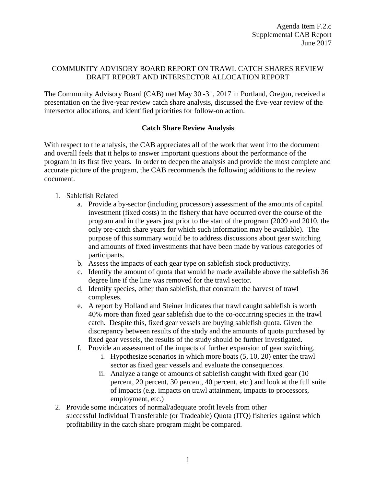### COMMUNITY ADVISORY BOARD REPORT ON TRAWL CATCH SHARES REVIEW DRAFT REPORT AND INTERSECTOR ALLOCATION REPORT

The Community Advisory Board (CAB) met May 30 -31, 2017 in Portland, Oregon, received a presentation on the five-year review catch share analysis, discussed the five-year review of the intersector allocations, and identified priorities for follow-on action.

### **Catch Share Review Analysis**

With respect to the analysis, the CAB appreciates all of the work that went into the document and overall feels that it helps to answer important questions about the performance of the program in its first five years. In order to deepen the analysis and provide the most complete and accurate picture of the program, the CAB recommends the following additions to the review document.

### 1. Sablefish Related

- a. Provide a by-sector (including processors) assessment of the amounts of capital investment (fixed costs) in the fishery that have occurred over the course of the program and in the years just prior to the start of the program (2009 and 2010, the only pre-catch share years for which such information may be available). The purpose of this summary would be to address discussions about gear switching and amounts of fixed investments that have been made by various categories of participants.
- b. Assess the impacts of each gear type on sablefish stock productivity.
- c. Identify the amount of quota that would be made available above the sablefish 36 degree line if the line was removed for the trawl sector.
- d. Identify species, other than sablefish, that constrain the harvest of trawl complexes.
- e. A report by Holland and Steiner indicates that trawl caught sablefish is worth 40% more than fixed gear sablefish due to the co-occurring species in the trawl catch. Despite this, fixed gear vessels are buying sablefish quota. Given the discrepancy between results of the study and the amounts of quota purchased by fixed gear vessels, the results of the study should be further investigated.
- f. Provide an assessment of the impacts of further expansion of gear switching.
	- i. Hypothesize scenarios in which more boats (5, 10, 20) enter the trawl sector as fixed gear vessels and evaluate the consequences.
	- ii. Analyze a range of amounts of sablefish caught with fixed gear (10 percent, 20 percent, 30 percent, 40 percent, etc.) and look at the full suite of impacts (e.g. impacts on trawl attainment, impacts to processors, employment, etc.)
- 2. Provide some indicators of normal/adequate profit levels from other successful Individual Transferable (or Tradeable) Quota (ITQ) fisheries against which profitability in the catch share program might be compared.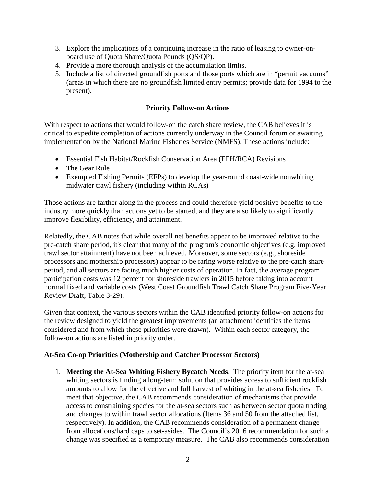- 3. Explore the implications of a continuing increase in the ratio of leasing to owner-onboard use of Quota Share/Quota Pounds (QS/QP).
- 4. Provide a more thorough analysis of the accumulation limits.
- 5. Include a list of directed groundfish ports and those ports which are in "permit vacuums" (areas in which there are no groundfish limited entry permits; provide data for 1994 to the present).

### **Priority Follow-on Actions**

With respect to actions that would follow-on the catch share review, the CAB believes it is critical to expedite completion of actions currently underway in the Council forum or awaiting implementation by the National Marine Fisheries Service (NMFS). These actions include:

- Essential Fish Habitat/Rockfish Conservation Area (EFH/RCA) Revisions
- The Gear Rule
- Exempted Fishing Permits (EFPs) to develop the year-round coast-wide nonwhiting midwater trawl fishery (including within RCAs)

Those actions are farther along in the process and could therefore yield positive benefits to the industry more quickly than actions yet to be started, and they are also likely to significantly improve flexibility, efficiency, and attainment.

Relatedly, the CAB notes that while overall net benefits appear to be improved relative to the pre-catch share period, it's clear that many of the program's economic objectives (e.g. improved trawl sector attainment) have not been achieved. Moreover, some sectors (e.g., shoreside processors and mothership processors) appear to be faring worse relative to the pre-catch share period, and all sectors are facing much higher costs of operation. In fact, the average program participation costs was 12 percent for shoreside trawlers in 2015 before taking into account normal fixed and variable costs (West Coast Groundfish Trawl Catch Share Program Five-Year Review Draft, Table 3-29).

Given that context, the various sectors within the CAB identified priority follow-on actions for the review designed to yield the greatest improvements (an attachment identifies the items considered and from which these priorities were drawn). Within each sector category, the follow-on actions are listed in priority order.

### **At-Sea Co-op Priorities (Mothership and Catcher Processor Sectors)**

1. **Meeting the At-Sea Whiting Fishery Bycatch Needs**. The priority item for the at-sea whiting sectors is finding a long-term solution that provides access to sufficient rockfish amounts to allow for the effective and full harvest of whiting in the at-sea fisheries. To meet that objective, the CAB recommends consideration of mechanisms that provide access to constraining species for the at-sea sectors such as between sector quota trading and changes to within trawl sector allocations (Items 36 and 50 from the attached list, respectively). In addition, the CAB recommends consideration of a permanent change from allocations/hard caps to set-asides. The Council's 2016 recommendation for such a change was specified as a temporary measure. The CAB also recommends consideration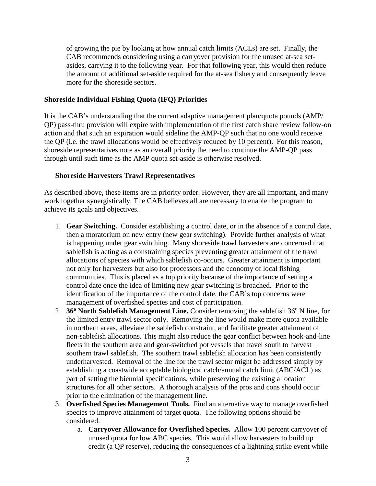of growing the pie by looking at how annual catch limits (ACLs) are set. Finally, the CAB recommends **c**onsidering using a carryover provision for the unused at-sea setasides, carrying it to the following year. For that following year, this would then reduce the amount of additional set-aside required for the at-sea fishery and consequently leave more for the shoreside sectors.

#### **Shoreside Individual Fishing Quota (IFQ) Priorities**

It is the CAB's understanding that the current adaptive management plan/quota pounds (AMP/ QP) pass-thru provision will expire with implementation of the first catch share review follow-on action and that such an expiration would sideline the AMP-QP such that no one would receive the QP (i.e. the trawl allocations would be effectively reduced by 10 percent). For this reason, shoreside representatives note as an overall priority the need to continue the AMP-QP pass through until such time as the AMP quota set-aside is otherwise resolved.

#### **Shoreside Harvesters Trawl Representatives**

As described above, these items are in priority order. However, they are all important, and many work together synergistically. The CAB believes all are necessary to enable the program to achieve its goals and objectives.

- 1. **Gear Switching.** Consider establishing a control date, or in the absence of a control date, then a moratorium on new entry (new gear switching). Provide further analysis of what is happening under gear switching. Many shoreside trawl harvesters are concerned that sablefish is acting as a constraining species preventing greater attainment of the trawl allocations of species with which sablefish co-occurs. Greater attainment is important not only for harvesters but also for processors and the economy of local fishing communities. This is placed as a top priority because of the importance of setting a control date once the idea of limiting new gear switching is broached. Prior to the identification of the importance of the control date, the CAB's top concerns were management of overfished species and cost of participation.
- 2. **36<sup>o</sup> North Sablefish Management Line.** Consider removing the sablefish 36<sup>o</sup> N line, for the limited entry trawl sector only. Removing the line would make more quota available in northern areas, alleviate the sablefish constraint, and facilitate greater attainment of non-sablefish allocations. This might also reduce the gear conflict between hook-and-line fleets in the southern area and gear-switched pot vessels that travel south to harvest southern trawl sablefish. The southern trawl sablefish allocation has been consistently underharvested. Removal of the line for the trawl sector might be addressed simply by establishing a coastwide acceptable biological catch/annual catch limit (ABC/ACL) as part of setting the biennial specifications, while preserving the existing allocation structures for all other sectors. A thorough analysis of the pros and cons should occur prior to the elimination of the management line.
- 3. **Overfished Species Management Tools.** Find an alternative way to manage overfished species to improve attainment of target quota. The following options should be considered.
	- a. **Carryover Allowance for Overfished Species.** Allow 100 percent carryover of unused quota for low ABC species. This would allow harvesters to build up credit (a QP reserve), reducing the consequences of a lightning strike event while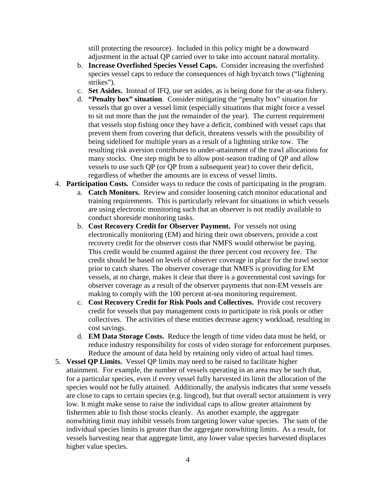still protecting the resource). Included in this policy might be a downward adjustment in the actual QP carried over to take into account natural mortality.

- b. **Increase Overfished Species Vessel Caps.** Consider increasing the overfished species vessel caps to reduce the consequences of high bycatch tows ("lightning strikes").
- c. **Set Asides.** Instead of IFQ, use set asides, as is being done for the at-sea fishery.
- d. **"Penalty box" situation**. Consider mitigating the "penalty box" situation for vessels that go over a vessel limit (especially situations that might force a vessel to sit out more than the just the remainder of the year). The current requirement that vessels stop fishing once they have a deficit, combined with vessel caps that prevent them from covering that deficit, threatens vessels with the possibility of being sidelined for multiple years as a result of a lightning strike tow. The resulting risk aversion contributes to under-attainment of the trawl allocations for many stocks. One step might be to allow post-season trading of QP and allow vessels to use such QP (or QP from a subsequent year) to cover their deficit, regardless of whether the amounts are in excess of vessel limits.
- 4. **Participation Costs.** Consider ways to reduce the costs of participating in the program.
	- a. **Catch Monitors.** Review and consider loosening catch monitor educational and training requirements. This is particularly relevant for situations in which vessels are using electronic monitoring such that an observer is not readily available to conduct shoreside monitoring tasks.
	- b. **Cost Recovery Credit for Observer Payment.** For vessels not using electronically monitoring (EM) and hiring their own observers, provide a cost recovery credit for the observer costs that NMFS would otherwise be paying. This credit would be counted against the three percent cost recovery fee. The credit should be based on levels of observer coverage in place for the trawl sector prior to catch shares. The observer coverage that NMFS is providing for EM vessels, at no charge, makes it clear that there is a governmental cost savings for observer coverage as a result of the observer payments that non-EM vessels are making to comply with the 100 percent at-sea monitoring requirement.
	- c. **Cost Recovery Credit for Risk Pools and Collectives.** Provide cost recovery credit for vessels that pay management costs to participate in risk pools or other collectives. The activities of these entities decrease agency workload, resulting in cost savings.
	- d. **EM Data Storage Costs.** Reduce the length of time video data must be held, or reduce industry responsibility for costs of video storage for enforcement purposes. Reduce the amount of data held by retaining only video of actual haul times.
- 5. **Vessel QP Limits.** Vessel QP limits may need to be raised to facilitate higher attainment. For example, the number of vessels operating in an area may be such that, for a particular species, even if every vessel fully harvested its limit the allocation of the species would not be fully attained. Additionally, the analysis indicates that some vessels are close to caps to certain species (e.g. lingcod), but that overall sector attainment is very low. It might make sense to raise the individual caps to allow greater attainment by fishermen able to fish those stocks cleanly. As another example, the aggregate nonwhiting limit may inhibit vessels from targeting lower value species. The sum of the individual species limits is greater than the aggregate nonwhiting limits. As a result, for vessels harvesting near that aggregate limit, any lower value species harvested displaces higher value species.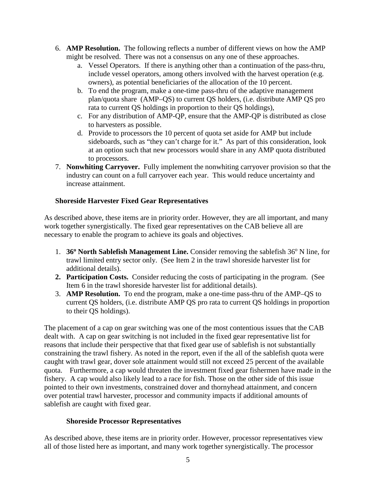- 6. **AMP Resolution.** The following reflects a number of different views on how the AMP might be resolved. There was not a consensus on any one of these approaches.
	- a. Vessel Operators. If there is anything other than a continuation of the pass-thru, include vessel operators, among others involved with the harvest operation (e.g. owners), as potential beneficiaries of the allocation of the 10 percent.
	- b. To end the program, make a one-time pass-thru of the adaptive management plan/quota share (AMP–QS) to current QS holders, (i.e. distribute AMP QS pro rata to current QS holdings in proportion to their QS holdings),
	- c. For any distribution of AMP-QP, ensure that the AMP-QP is distributed as close to harvesters as possible.
	- d. Provide to processors the 10 percent of quota set aside for AMP but include sideboards, such as "they can't charge for it." As part of this consideration, look at an option such that new processors would share in any AMP quota distributed to processors.
- 7. **Nonwhiting Carryover.** Fully implement the nonwhiting carryover provision so that the industry can count on a full carryover each year. This would reduce uncertainty and increase attainment.

### **Shoreside Harvester Fixed Gear Representatives**

As described above, these items are in priority order. However, they are all important, and many work together synergistically. The fixed gear representatives on the CAB believe all are necessary to enable the program to achieve its goals and objectives.

- 1. **36<sup>°</sup> North Sablefish Management Line.** Consider removing the sablefish 36<sup>°</sup> N line, for trawl limited entry sector only. (See Item 2 in the trawl shoreside harvester list for additional details).
- **2. Participation Costs.** Consider reducing the costs of participating in the program. (See Item 6 in the trawl shoreside harvester list for additional details).
- 3. **AMP Resolution.** To end the program, make a one-time pass-thru of the AMP–QS to current QS holders, (i.e. distribute AMP QS pro rata to current QS holdings in proportion to their QS holdings).

The placement of a cap on gear switching was one of the most contentious issues that the CAB dealt with. A cap on gear switching is not included in the fixed gear representative list for reasons that include their perspective that that fixed gear use of sablefish is not substantially constraining the trawl fishery. As noted in the report, even if the all of the sablefish quota were caught with trawl gear, dover sole attainment would still not exceed 25 percent of the available quota. Furthermore, a cap would threaten the investment fixed gear fishermen have made in the fishery. A cap would also likely lead to a race for fish. Those on the other side of this issue pointed to their own investments, constrained dover and thornyhead attainment, and concern over potential trawl harvester, processor and community impacts if additional amounts of sablefish are caught with fixed gear.

### **Shoreside Processor Representatives**

As described above, these items are in priority order. However, processor representatives view all of those listed here as important, and many work together synergistically. The processor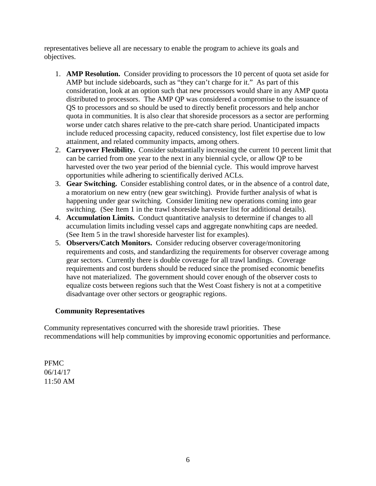representatives believe all are necessary to enable the program to achieve its goals and objectives.

- 1. **AMP Resolution.** Consider providing to processors the 10 percent of quota set aside for AMP but include sideboards, such as "they can't charge for it." As part of this consideration, look at an option such that new processors would share in any AMP quota distributed to processors. The AMP QP was considered a compromise to the issuance of QS to processors and so should be used to directly benefit processors and help anchor quota in communities. It is also clear that shoreside processors as a sector are performing worse under catch shares relative to the pre-catch share period. Unanticipated impacts include reduced processing capacity, reduced consistency, lost filet expertise due to low attainment, and related community impacts, among others.
- 2. **Carryover Flexibility.** Consider substantially increasing the current 10 percent limit that can be carried from one year to the next in any biennial cycle, or allow QP to be harvested over the two year period of the biennial cycle. This would improve harvest opportunities while adhering to scientifically derived ACLs.
- 3. **Gear Switching.** Consider establishing control dates, or in the absence of a control date, a moratorium on new entry (new gear switching). Provide further analysis of what is happening under gear switching. Consider limiting new operations coming into gear switching. (See Item 1 in the trawl shoreside harvester list for additional details).
- 4. **Accumulation Limits.** Conduct quantitative analysis to determine if changes to all accumulation limits including vessel caps and aggregate nonwhiting caps are needed. (See Item 5 in the trawl shoreside harvester list for examples).
- 5. **Observers/Catch Monitors.** Consider reducing observer coverage/monitoring requirements and costs, and standardizing the requirements for observer coverage among gear sectors. Currently there is double coverage for all trawl landings. Coverage requirements and cost burdens should be reduced since the promised economic benefits have not materialized. The government should cover enough of the observer costs to equalize costs between regions such that the West Coast fishery is not at a competitive disadvantage over other sectors or geographic regions.

### **Community Representatives**

Community representatives concurred with the shoreside trawl priorities. These recommendations will help communities by improving economic opportunities and performance.

PFMC 06/14/17 11:50 AM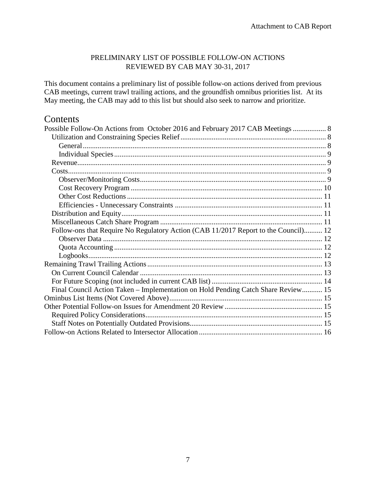### PRELIMINARY LIST OF POSSIBLE FOLLOW-ON ACTIONS REVIEWED BY CAB MAY 30-31, 2017

This document contains a preliminary list of possible follow-on actions derived from previous CAB meetings, current trawl trailing actions, and the groundfish omnibus priorities list. At its May meeting, the CAB may add to this list but should also seek to narrow and prioritize.

# **Contents**

| Possible Follow-On Actions from October 2016 and February 2017 CAB Meetings  8      |  |
|-------------------------------------------------------------------------------------|--|
|                                                                                     |  |
|                                                                                     |  |
|                                                                                     |  |
|                                                                                     |  |
|                                                                                     |  |
|                                                                                     |  |
|                                                                                     |  |
|                                                                                     |  |
|                                                                                     |  |
|                                                                                     |  |
|                                                                                     |  |
| Follow-ons that Require No Regulatory Action (CAB 11/2017 Report to the Council) 12 |  |
|                                                                                     |  |
|                                                                                     |  |
|                                                                                     |  |
|                                                                                     |  |
|                                                                                     |  |
|                                                                                     |  |
| Final Council Action Taken – Implementation on Hold Pending Catch Share Review 15   |  |
|                                                                                     |  |
|                                                                                     |  |
|                                                                                     |  |
|                                                                                     |  |
|                                                                                     |  |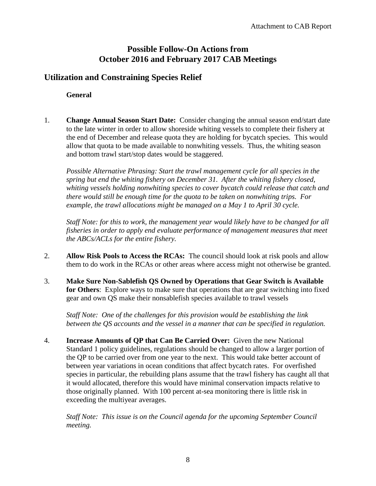# **Possible Follow-On Actions from October 2016 and February 2017 CAB Meetings**

## <span id="page-7-2"></span><span id="page-7-1"></span><span id="page-7-0"></span>**Utilization and Constraining Species Relief**

**General**

1. **Change Annual Season Start Date:** Consider changing the annual season end/start date to the late winter in order to allow shoreside whiting vessels to complete their fishery at the end of December and release quota they are holding for bycatch species. This would allow that quota to be made available to nonwhiting vessels. Thus, the whiting season and bottom trawl start/stop dates would be staggered.

*Possible Alternative Phrasing: Start the trawl management cycle for all species in the spring but end the whiting fishery on December 31. After the whiting fishery closed, whiting vessels holding nonwhiting species to cover bycatch could release that catch and there would still be enough time for the quota to be taken on nonwhiting trips. For example, the trawl allocations might be managed on a May 1 to April 30 cycle.*

*Staff Note: for this to work, the management year would likely have to be changed for all fisheries in order to apply end evaluate performance of management measures that meet the ABCs/ACLs for the entire fishery.*

- 2. **Allow Risk Pools to Access the RCAs:** The council should look at risk pools and allow them to do work in the RCAs or other areas where access might not otherwise be granted.
- 3. **Make Sure Non-Sablefish QS Owned by Operations that Gear Switch is Available for Others**: Explore ways to make sure that operations that are gear switching into fixed gear and own QS make their nonsablefish species available to trawl vessels

*Staff Note: One of the challenges for this provision would be establishing the link between the QS accounts and the vessel in a manner that can be specified in regulation.*

4. **Increase Amounts of QP that Can Be Carried Over:** Given the new National Standard 1 policy guidelines, regulations should be changed to allow a larger portion of the QP to be carried over from one year to the next. This would take better account of between year variations in ocean conditions that affect bycatch rates. For overfished species in particular, the rebuilding plans assume that the trawl fishery has caught all that it would allocated, therefore this would have minimal conservation impacts relative to those originally planned. With 100 percent at-sea monitoring there is little risk in exceeding the multiyear averages.

*Staff Note: This issue is on the Council agenda for the upcoming September Council meeting.*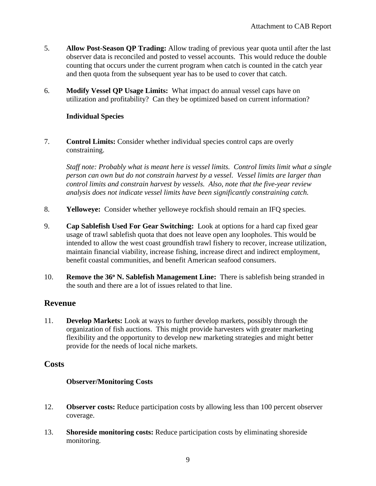- 5. **Allow Post-Season QP Trading:** Allow trading of previous year quota until after the last observer data is reconciled and posted to vessel accounts. This would reduce the double counting that occurs under the current program when catch is counted in the catch year and then quota from the subsequent year has to be used to cover that catch.
- 6. **Modify Vessel QP Usage Limits:** What impact do annual vessel caps have on utilization and profitability? Can they be optimized based on current information?

### <span id="page-8-0"></span>**Individual Species**

7. **Control Limits:** Consider whether individual species control caps are overly constraining.

*Staff note: Probably what is meant here is vessel limits. Control limits limit what a single person can own but do not constrain harvest by a vessel. Vessel limits are larger than control limits and constrain harvest by vessels. Also, note that the five-year review analysis does not indicate vessel limits have been significantly constraining catch.*

- 8. **Yelloweye:** Consider whether yelloweye rockfish should remain an IFQ species.
- 9. **Cap Sablefish Used For Gear Switching:** Look at options for a hard cap fixed gear usage of trawl sablefish quota that does not leave open any loopholes. This would be intended to allow the west coast groundfish trawl fishery to recover, increase utilization, maintain financial viability, increase fishing, increase direct and indirect employment, benefit coastal communities, and benefit American seafood consumers.
- 10. **Remove the 36o N. Sablefish Management Line:** There is sablefish being stranded in the south and there are a lot of issues related to that line.

## <span id="page-8-1"></span>**Revenue**

11. **Develop Markets:** Look at ways to further develop markets, possibly through the organization of fish auctions. This might provide harvesters with greater marketing flexibility and the opportunity to develop new marketing strategies and might better provide for the needs of local niche markets.

### <span id="page-8-3"></span><span id="page-8-2"></span>**Costs**

### **Observer/Monitoring Costs**

- 12. **Observer costs:** Reduce participation costs by allowing less than 100 percent observer coverage.
- 13. **Shoreside monitoring costs:** Reduce participation costs by eliminating shoreside monitoring.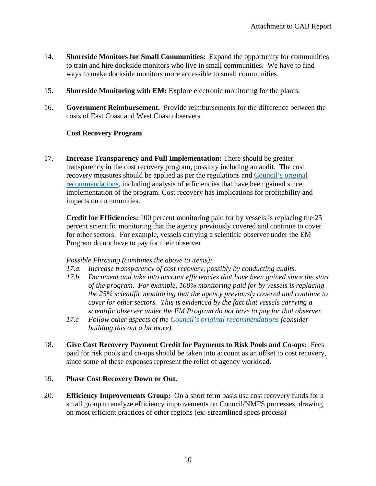- 14. **Shoreside Monitors for Small Communities:** Expand the opportunity for communities to train and hire dockside monitors who live in small communities. We have to find ways to make dockside monitors more accessible to small communities.
- 15. **Shoreside Monitoring with EM:** Explore electronic monitoring for the plants.
- 16. **Government Reimbursement.** Provide reimbursements for the difference between the costs of East Coast and West Coast observers.

#### <span id="page-9-0"></span>**Cost Recovery Program**

17. **Increase Transparency and Full Implementation:** There should be greater transparency in the cost recovery program, possibly including an audit. The cost recovery measures should be applied as per the regulations and [Council's original](http://www.pcouncil.org/wp-content/uploads/CR_Council_Sept2011_Action_Fin.pdf)  [recommendations,](http://www.pcouncil.org/wp-content/uploads/CR_Council_Sept2011_Action_Fin.pdf) including analysis of efficiencies that have been gained since implementation of the program. Cost recovery has implications for profitability and impacts on communities.

**Credit for Efficiencies:** 100 percent monitoring paid for by vessels is replacing the 25 percent scientific monitoring that the agency previously covered and continue to cover for other sectors. For example, vessels carrying a scientific observer under the EM Program do not have to pay for their observer

#### *Possible Phrasing (combines the above to items):*

- *17.a. Increase transparency of cost recovery, possibly by conducting audits.*
- *17.b Document and take into account efficiencies that have been gained since the start of the program. For example, 100% monitoring paid for by vessels is replacing the 25% scientific monitoring that the agency previously covered and continue to cover for other sectors. This is evidenced by the fact that vessels carrying a scientific observer under the EM Program do not have to pay for that observer.*
- *17.c Follow other aspects of the [Council's original recommendations](http://www.pcouncil.org/wp-content/uploads/CR_Council_Sept2011_Action_Fin.pdf) (consider building this out a bit more).*
- 18. **Give Cost Recovery Payment Credit for Payments to Risk Pools and Co-ops:** Fees paid for risk pools and co-ops should be taken into account as an offset to cost recovery, since some of these expenses represent the relief of agency workload.

#### 19. **Phase Cost Recovery Down or Out.**

20. **Efficiency Improvements Group:** On a short term basis use cost recovery funds for a small group to analyze efficiency improvements on Council/NMFS processes, drawing on most efficient practices of other regions (ex: streamlined specs process)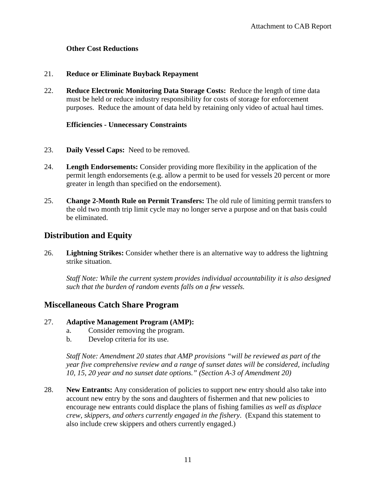### <span id="page-10-0"></span>**Other Cost Reductions**

#### 21. **Reduce or Eliminate Buyback Repayment**

22. **Reduce Electronic Monitoring Data Storage Costs:** Reduce the length of time data must be held or reduce industry responsibility for costs of storage for enforcement purposes. Reduce the amount of data held by retaining only video of actual haul times.

#### <span id="page-10-1"></span>**Efficiencies - Unnecessary Constraints**

- 23. **Daily Vessel Caps:** Need to be removed.
- 24. **Length Endorsements:** Consider providing more flexibility in the application of the permit length endorsements (e.g. allow a permit to be used for vessels 20 percent or more greater in length than specified on the endorsement).
- 25. **Change 2-Month Rule on Permit Transfers:** The old rule of limiting permit transfers to the old two month trip limit cycle may no longer serve a purpose and on that basis could be eliminated.

# <span id="page-10-2"></span>**Distribution and Equity**

26. **Lightning Strikes:** Consider whether there is an alternative way to address the lightning strike situation.

*Staff Note: While the current system provides individual accountability it is also designed such that the burden of random events falls on a few vessels.*

### <span id="page-10-3"></span>**Miscellaneous Catch Share Program**

### 27. **Adaptive Management Program (AMP):**

- a. Consider removing the program.
- b. Develop criteria for its use.

*Staff Note: Amendment 20 states that AMP provisions "will be reviewed as part of the year five comprehensive review and a range of sunset dates will be considered, including 10, 15, 20 year and no sunset date options." (Section A-3 of Amendment 20)*

28. **New Entrants:** Any consideration of policies to support new entry should also take into account new entry by the sons and daughters of fishermen and that new policies to encourage new entrants could displace the plans of fishing families *as well as displace crew, skippers, and others currently engaged in the fishery*. (Expand this statement to also include crew skippers and others currently engaged.)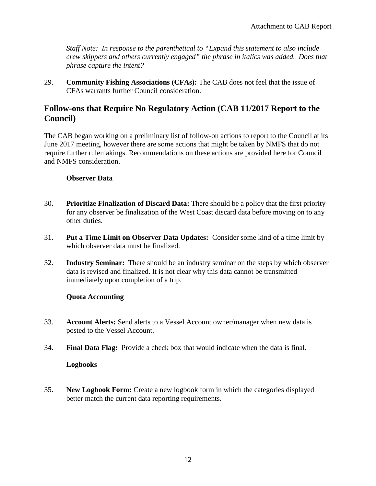*Staff Note: In response to the parenthetical to "Expand this statement to also include crew skippers and others currently engaged" the phrase in italics was added. Does that phrase capture the intent?*

29. **Community Fishing Associations (CFAs):** The CAB does not feel that the issue of CFAs warrants further Council consideration.

## <span id="page-11-0"></span>**Follow-ons that Require No Regulatory Action (CAB 11/2017 Report to the Council)**

The CAB began working on a preliminary list of follow-on actions to report to the Council at its June 2017 meeting, however there are some actions that might be taken by NMFS that do not require further rulemakings. Recommendations on these actions are provided here for Council and NMFS consideration.

#### <span id="page-11-1"></span>**Observer Data**

- 30. **Prioritize Finalization of Discard Data:** There should be a policy that the first priority for any observer be finalization of the West Coast discard data before moving on to any other duties.
- 31. **Put a Time Limit on Observer Data Updates:** Consider some kind of a time limit by which observer data must be finalized.
- 32. **Industry Seminar:** There should be an industry seminar on the steps by which observer data is revised and finalized. It is not clear why this data cannot be transmitted immediately upon completion of a trip.

### <span id="page-11-2"></span>**Quota Accounting**

- 33. **Account Alerts:** Send alerts to a Vessel Account owner/manager when new data is posted to the Vessel Account.
- <span id="page-11-3"></span>34. **Final Data Flag:** Provide a check box that would indicate when the data is final.

### **Logbooks**

35. **New Logbook Form:** Create a new logbook form in which the categories displayed better match the current data reporting requirements.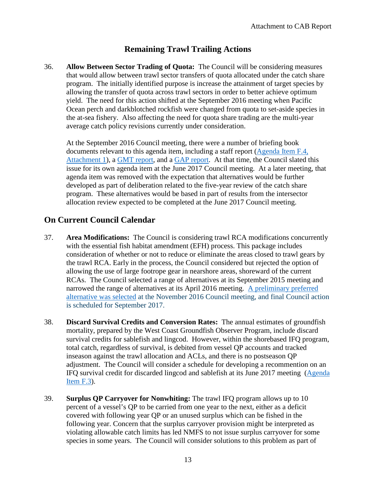# **Remaining Trawl Trailing Actions**

<span id="page-12-0"></span>36. **Allow Between Sector Trading of Quota:** The Council will be considering measures that would allow between trawl sector transfers of quota allocated under the catch share program. The initially identified purpose is increase the attainment of target species by allowing the transfer of quota across trawl sectors in order to better achieve optimum yield. The need for this action shifted at the September 2016 meeting when Pacific Ocean perch and darkblotched rockfish were changed from quota to set-aside species in the at-sea fishery. Also affecting the need for quota share trading are the multi-year average catch policy revisions currently under consideration.

At the September 2016 Council meeting, there were a number of briefing book documents relevant to this agenda item, including a staff report [\(Agenda Item F.4,](http://www.pcouncil.org/wp-content/uploads/2016/08/F4_Att1_QP_Trading_SEPT2016BB.pdf)  [Attachment 1\)](http://www.pcouncil.org/wp-content/uploads/2016/08/F4_Att1_QP_Trading_SEPT2016BB.pdf), a [GMT report,](http://www.pcouncil.org/wp-content/uploads/2016/09/F4a_Sup_GMT_Rpt_SEPT2016BB.pdf) and a [GAP report.](http://www.pcouncil.org/wp-content/uploads/2016/09/F4a_Sup_GAP_Rpt_SEPT2016BB.pdf) At that time, the Council slated this issue for its own agenda item at the June 2017 Council meeting. At a later meeting, that agenda item was removed with the expectation that alternatives would be further developed as part of deliberation related to the five-year review of the catch share program. These alternatives would be based in part of results from the intersector allocation review expected to be completed at the June 2017 Council meeting.

## <span id="page-12-1"></span>**On Current Council Calendar**

- 37. **Area Modifications:** The Council is considering trawl RCA modifications concurrently with the essential fish habitat amendment (EFH) process. This package includes consideration of whether or not to reduce or eliminate the areas closed to trawl gears by the trawl RCA. Early in the process, the Council considered but rejected the option of allowing the use of large footrope gear in nearshore areas, shoreward of the current RCAs. The Council selected a range of alternatives at its September 2015 meeting and narrowed the range of alternatives at its April 2016 meeting. [A preliminary preferred](http://www.pcouncil.org/wp-content/uploads/2016/11/November2016FINALDecisionSummaryDocument.pdf)  [alternative was selected](http://www.pcouncil.org/wp-content/uploads/2016/11/November2016FINALDecisionSummaryDocument.pdf) at the November 2016 Council meeting, and final Council action is scheduled for September 2017.
- 38. **Discard Survival Credits and Conversion Rates:** The annual estimates of groundfish mortality, prepared by the West Coast Groundfish Observer Program, include discard survival credits for sablefish and lingcod. However, within the shorebased IFQ program, total catch, regardless of survival, is debited from vessel QP accounts and tracked inseason against the trawl allocation and ACLs, and there is no postseason QP adjustment. The Council will consider a schedule for developing a recommention on an IFQ survival credit for discarded lingcod and sablefish at its June 2017 meeting [\(Agenda](http://www.pcouncil.org/resources/archives/briefing-books/june-2017-briefing-book/#gfJun2017)  **Item F.3**).
- 39. **Surplus QP Carryover for Nonwhiting:** The trawl IFQ program allows up to 10 percent of a vessel's QP to be carried from one year to the next, either as a deficit covered with following year QP or an unused surplus which can be fished in the following year. Concern that the surplus carryover provision might be interpreted as violating allowable catch limits has led NMFS to not issue surplus carryover for some species in some years. The Council will consider solutions to this problem as part of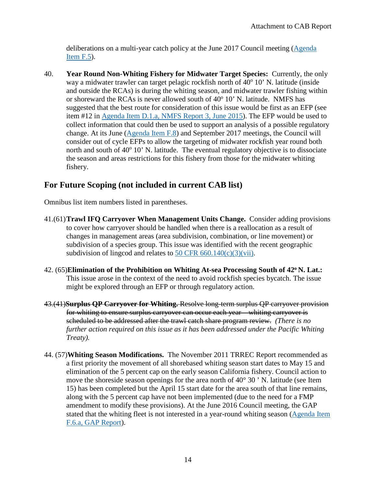deliberations on a multi-year catch policy at the June 2017 Council meeting [\(Agenda](http://www.pcouncil.org/resources/archives/briefing-books/june-2017-briefing-book/#gfJun2017)  [Item F.5\)](http://www.pcouncil.org/resources/archives/briefing-books/june-2017-briefing-book/#gfJun2017).

40. **Year Round Non-Whiting Fishery for Midwater Target Species:** Currently, the only way a midwater trawler can target pelagic rockfish north of  $40^{\circ}$  10' N. latitude (inside and outside the RCAs) is during the whiting season, and midwater trawler fishing within or shoreward the RCAs is never allowed south of  $40^{\circ}$  10' N. latitude. NMFS has suggested that the best route for consideration of this issue would be first as an EFP (see item #12 in [Agenda Item D.1.a, NMFS Report 3, June 2015\)](http://www.pcouncil.org/wp-content/uploads/2015/05/D1a_NMFS_Rpt3_Packaging_JUN2015BB.pdf). The EFP would be used to collect information that could then be used to support an analysis of a possible regulatory change. At its June [\(Agenda Item F.8\)](http://www.pcouncil.org/resources/archives/briefing-books/june-2017-briefing-book/#gfJun2017) and September 2017 meetings, the Council will consider out of cycle EFPs to allow the targeting of midwater rockfish year round both north and south of  $40^{\circ}$  10' N. latitude. The eventual regulatory objective is to dissociate the season and areas restrictions for this fishery from those for the midwater whiting fishery.

# <span id="page-13-0"></span>**For Future Scoping (not included in current CAB list)**

Omnibus list item numbers listed in parentheses.

- 41.(61)**Trawl IFQ Carryover When Management Units Change.** Consider adding provisions to cover how carryover should be handled when there is a reallocation as a result of changes in management areas (area subdivision, combination, or line movement) or subdivision of a species group. This issue was identified with the recent geographic subdivision of lingcod and relates to  $50$  CFR  $660.140(c)(3)(vii)$ .
- 42. (65)**Elimination of the Prohibition on Whiting At-sea Processing South of 42o N. Lat.:**  This issue arose in the context of the need to avoid rockfish species bycatch. The issue might be explored through an EFP or through regulatory action.
- 43.(41)**Surplus QP Carryover for Whiting.** Resolve long-term surplus QP carryover provision for whiting to ensure surplus carryover can occur each year – whiting carryover is scheduled to be addressed after the trawl catch share program review. *(There is no further action required on this issue as it has been addressed under the Pacific Whiting Treaty).*
- 44. (57)**Whiting Season Modifications.** The November 2011 TRREC Report recommended as a first priority the movement of all shorebased whiting season start dates to May 15 and elimination of the 5 percent cap on the early season California fishery. Council action to move the shoreside season openings for the area north of 40° 30 ' N. latitude (see Item 15) has been completed but the April 15 start date for the area south of that line remains, along with the 5 percent cap have not been implemented (due to the need for a FMP amendment to modify these provisions). At the June 2016 Council meeting, the GAP stated that the whiting fleet is not interested in a year-round whiting season [\(Agenda Item](http://www.pcouncil.org/wp-content/uploads/2016/06/G6a_Sup_GAP_Rpt_Omnibus_JUN2016BB.pdf)  [F.6.a, GAP Report\)](http://www.pcouncil.org/wp-content/uploads/2016/06/G6a_Sup_GAP_Rpt_Omnibus_JUN2016BB.pdf).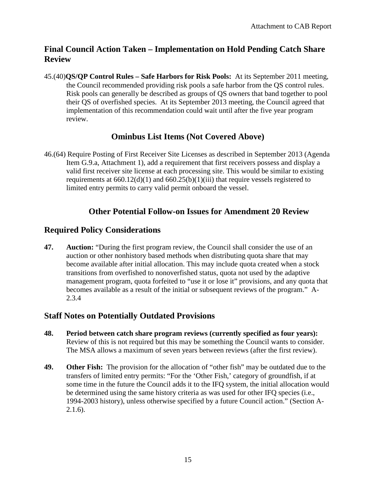# <span id="page-14-0"></span>**Final Council Action Taken – Implementation on Hold Pending Catch Share Review**

45.(40)**QS/QP Control Rules – Safe Harbors for Risk Pools:** At its September 2011 meeting, the Council recommended providing risk pools a safe harbor from the QS control rules. Risk pools can generally be described as groups of QS owners that band together to pool their QS of overfished species. At its September 2013 meeting, the Council agreed that implementation of this recommendation could wait until after the five year program review.

# **Ominbus List Items (Not Covered Above)**

<span id="page-14-1"></span>46.(64) Require Posting of First Receiver Site Licenses as described in September 2013 (Agenda Item G.9.a, Attachment 1), add a requirement that first receivers possess and display a valid first receiver site license at each processing site. This would be similar to existing requirements at  $660.12(d)(1)$  and  $660.25(b)(1)(iii)$  that require vessels registered to limited entry permits to carry valid permit onboard the vessel.

# <span id="page-14-2"></span>**Other Potential Follow-on Issues for Amendment 20 Review**

## <span id="page-14-3"></span>**Required Policy Considerations**

**47. Auction:** "During the first program review, the Council shall consider the use of an auction or other nonhistory based methods when distributing quota share that may become available after initial allocation. This may include quota created when a stock transitions from overfished to nonoverfished status, quota not used by the adaptive management program, quota forfeited to "use it or lose it" provisions, and any quota that becomes available as a result of the initial or subsequent reviews of the program." A-2.3.4

## <span id="page-14-4"></span>**Staff Notes on Potentially Outdated Provisions**

- **48. Period between catch share program reviews (currently specified as four years):** Review of this is not required but this may be something the Council wants to consider. The MSA allows a maximum of seven years between reviews (after the first review).
- **49. Other Fish:** The provision for the allocation of "other fish" may be outdated due to the transfers of limited entry permits: "For the 'Other Fish,' category of groundfish, if at some time in the future the Council adds it to the IFQ system, the initial allocation would be determined using the same history criteria as was used for other IFQ species (i.e., 1994-2003 history), unless otherwise specified by a future Council action." (Section A- $2.1.6$ ).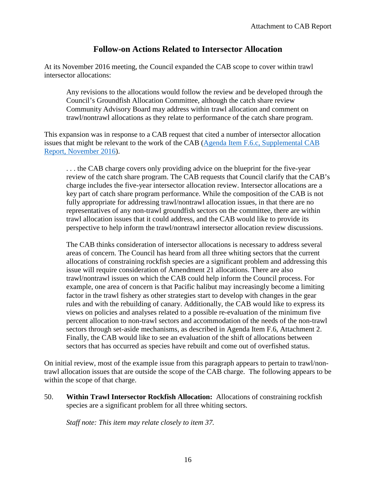## **Follow-on Actions Related to Intersector Allocation**

<span id="page-15-0"></span>At its November 2016 meeting, the Council expanded the CAB scope to cover within trawl intersector allocations:

Any revisions to the allocations would follow the review and be developed through the Council's Groundfish Allocation Committee, although the catch share review Community Advisory Board may address within trawl allocation and comment on trawl/nontrawl allocations as they relate to performance of the catch share program.

This expansion was in response to a CAB request that cited a number of intersector allocation issues that might be relevant to the work of the CAB [\(Agenda Item F.6.c, Supplemental CAB](http://www.pcouncil.org/wp-content/uploads/2016/11/F6c_Sup_CAB_Rpt_NOV2016BB.pdf)  [Report, November 2016\)](http://www.pcouncil.org/wp-content/uploads/2016/11/F6c_Sup_CAB_Rpt_NOV2016BB.pdf).

. . . the CAB charge covers only providing advice on the blueprint for the five-year review of the catch share program. The CAB requests that Council clarify that the CAB's charge includes the five-year intersector allocation review. Intersector allocations are a key part of catch share program performance. While the composition of the CAB is not fully appropriate for addressing trawl/nontrawl allocation issues, in that there are no representatives of any non-trawl groundfish sectors on the committee, there are within trawl allocation issues that it could address, and the CAB would like to provide its perspective to help inform the trawl/nontrawl intersector allocation review discussions.

The CAB thinks consideration of intersector allocations is necessary to address several areas of concern. The Council has heard from all three whiting sectors that the current allocations of constraining rockfish species are a significant problem and addressing this issue will require consideration of Amendment 21 allocations. There are also trawl/nontrawl issues on which the CAB could help inform the Council process. For example, one area of concern is that Pacific halibut may increasingly become a limiting factor in the trawl fishery as other strategies start to develop with changes in the gear rules and with the rebuilding of canary. Additionally, the CAB would like to express its views on policies and analyses related to a possible re-evaluation of the minimum five percent allocation to non-trawl sectors and accommodation of the needs of the non-trawl sectors through set-aside mechanisms, as described in Agenda Item F.6, Attachment 2. Finally, the CAB would like to see an evaluation of the shift of allocations between sectors that has occurred as species have rebuilt and come out of overfished status.

On initial review, most of the example issue from this paragraph appears to pertain to trawl/nontrawl allocation issues that are outside the scope of the CAB charge. The following appears to be within the scope of that charge.

50. **Within Trawl Intersector Rockfish Allocation:** Allocations of constraining rockfish species are a significant problem for all three whiting sectors.

*Staff note: This item may relate closely to item 37.*